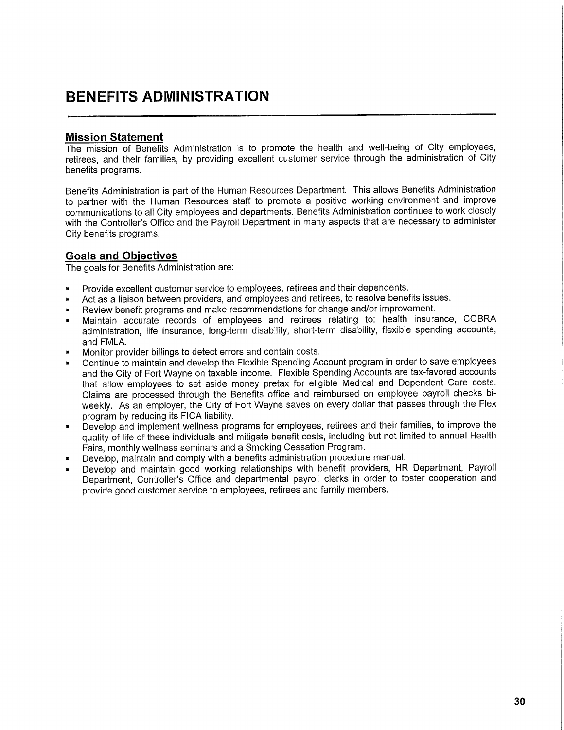## **BENEFITS ADMINISTRATION**

## **Mission Statement**

The mission of Benefits Administration is to promote the health and well-being of City employees, retirees, and their families, by providing excellent customer service through the administration of City benefits programs.

Benefits Administration is part of the Human Resources Department. This allows Benefits Administration to partner with the Human Resources staff to promote a positive working environment and improve communications to all City employees and departments. Benefits Administration continues to work closely with the Controller's Office and the Payroll Department in many aspects that are necessary to administer City benefits programs.

## **Goals and Objectives**

The goals for Benefits Administration are:

- Provide excellent customer service to employees, retirees and their dependents.
- Act as a liaison between providers, and employees and retirees, to resolve benefits issues.
- Review benefit programs and make recommendations for change and/or improvement.
- Maintain accurate records of employees and retirees relating to: health insurance, COBRA administration, life insurance, long-term disability, short-term disability, flexible spending accounts, and FMLA.
- Monitor provider billings to detect errors and contain costs.
- Continue to maintain and develop the Flexible Spending Account program in order to save employees and the City of Fort Wayne on taxable income. Flexible Spending Accounts are tax-favored accounts that allow employees to set aside money pretax for eligible Medical and Dependent Care costs. Claims are processed through the Benefits office and reimbursed on employee payroll checks biweekly. As an employer, the City of Fort Wayne saves on every dollar that passes through the Flex program by reducing its FICA liability.
- » Develop and implement wellness programs for employees, retirees and their families, to improve the quality of life of these individuals and mitigate benefit costs, including but not limited to annual Health Fairs, monthly wellness seminars and a Smoking Cessation Program.
- Develop, maintain and comply with a benefits administration procedure manual.
- Develop and maintain good working relationships with benefit providers, HR Department, Payroll Department, Controller's Office and departmental payroll clerks in order to foster cooperation and provide good customer service to employees, retirees and family members.